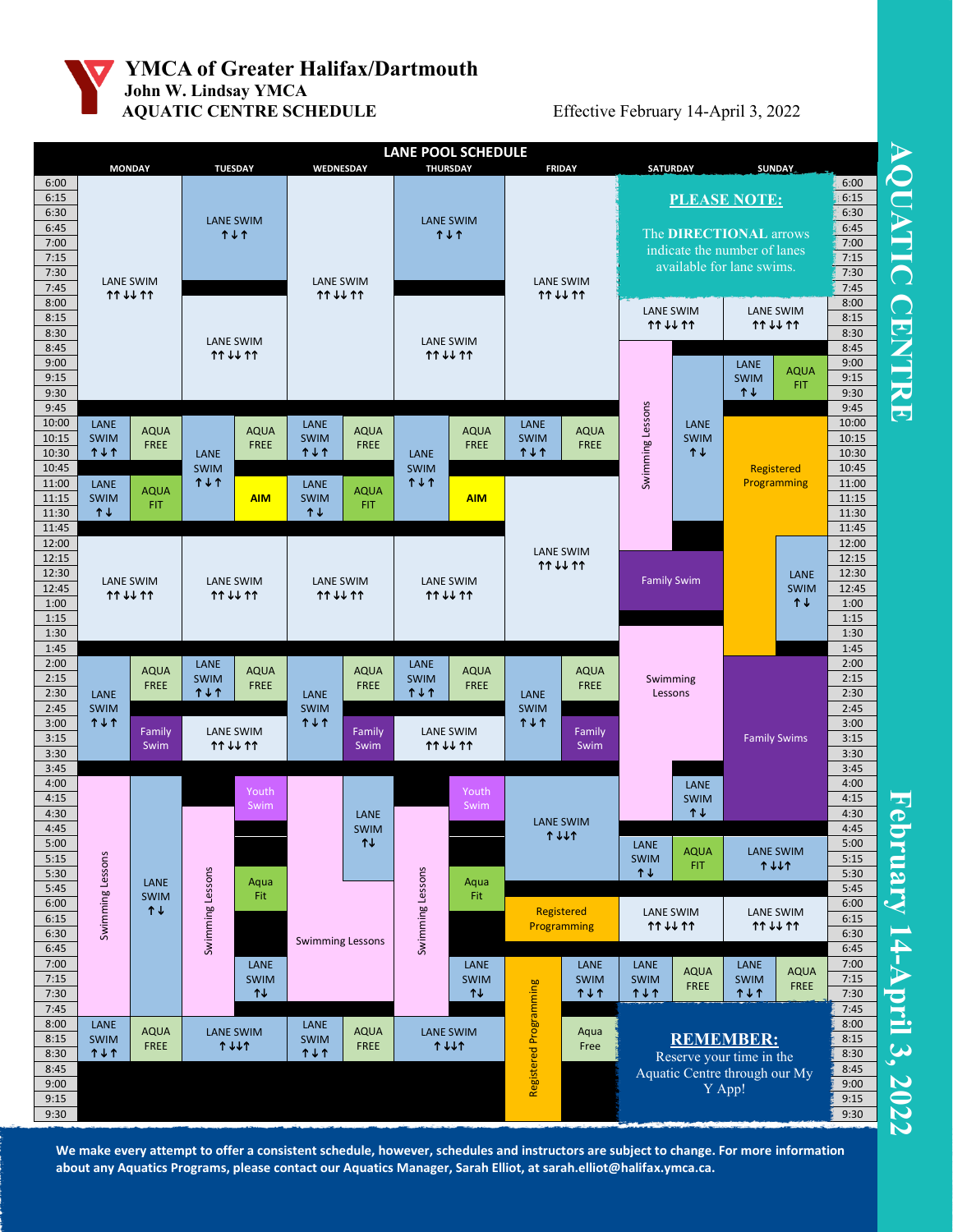

## **YMCA of Greater Halifax/Dartmouth John W. Lindsay YMCA AQUATIC CENTRE SCHEDULE** Effective February 14-April 3, 2022



**We make every attempt to offer a consistent schedule, however, schedules and instructors are subject to change. For more information about any Aquatics Programs, please contact our Aquatics Manager, Sarah Elliot, at sarah.elliot@halifax.ymca.ca.**

**AQUATIC CENTRE** NOUATIC CENT

**February 14 -Apr i l 3, 2022**